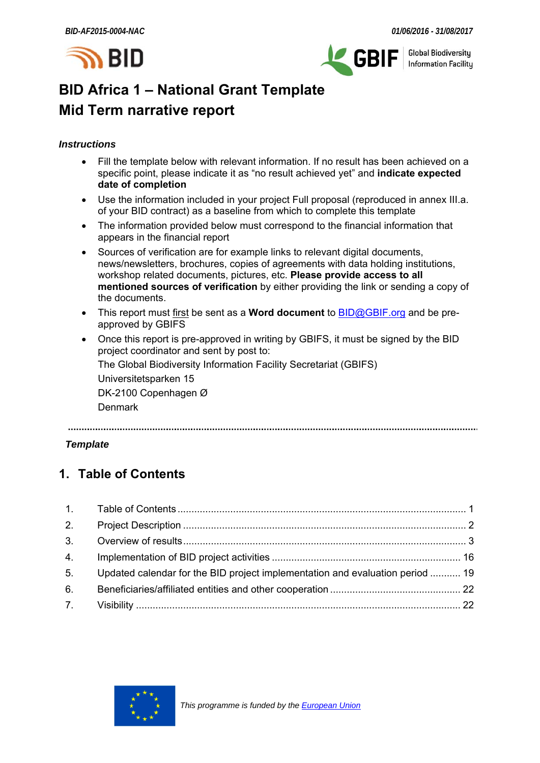



**Global Biodiversity Information Facility** 

# **BID Africa 1 – National Grant Template Mid Term narrative report**

## *Instructions*

- Fill the template below with relevant information. If no result has been achieved on a specific point, please indicate it as "no result achieved yet" and **indicate expected date of completion**
- Use the information included in your project Full proposal (reproduced in annex III.a. of your BID contract) as a baseline from which to complete this template
- The information provided below must correspond to the financial information that appears in the financial report
- Sources of verification are for example links to relevant digital documents, news/newsletters, brochures, copies of agreements with data holding institutions, workshop related documents, pictures, etc. **Please provide access to all mentioned sources of verification** by either providing the link or sending a copy of the documents.
- This report must first be sent as a **Word document** to BID@GBIF.org and be preapproved by GBIFS
- Once this report is pre-approved in writing by GBIFS, it must be signed by the BID project coordinator and sent by post to:

The Global Biodiversity Information Facility Secretariat (GBIFS)

Universitetsparken 15 DK-2100 Copenhagen Ø

**Denmark** 

## 

## *Template*

## **1. Table of Contents**

| 2. |                                                                               |  |
|----|-------------------------------------------------------------------------------|--|
| 3. |                                                                               |  |
| 4. |                                                                               |  |
| 5. | Updated calendar for the BID project implementation and evaluation period  19 |  |
| 6. |                                                                               |  |
|    |                                                                               |  |

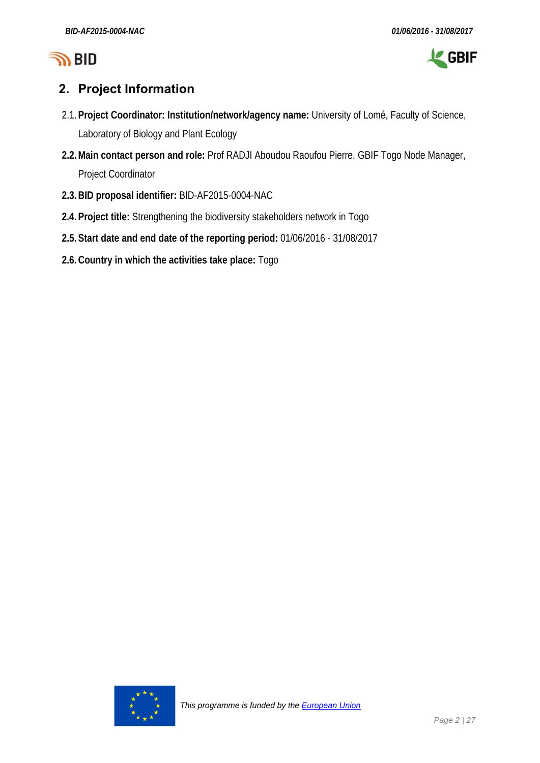



## **2. Project Information**

- 2.1.**Project Coordinator: Institution/network/agency name:** University of Lomé, Faculty of Science, Laboratory of Biology and Plant Ecology
- **2.2.Main contact person and role:** Prof RADJI Aboudou Raoufou Pierre, GBIF Togo Node Manager, Project Coordinator
- **2.3.BID proposal identifier:** BID-AF2015-0004-NAC
- **2.4.Project title:** Strengthening the biodiversity stakeholders network in Togo
- **2.5.Start date and end date of the reporting period:** 01/06/2016 31/08/2017
- **2.6.Country in which the activities take place:** Togo

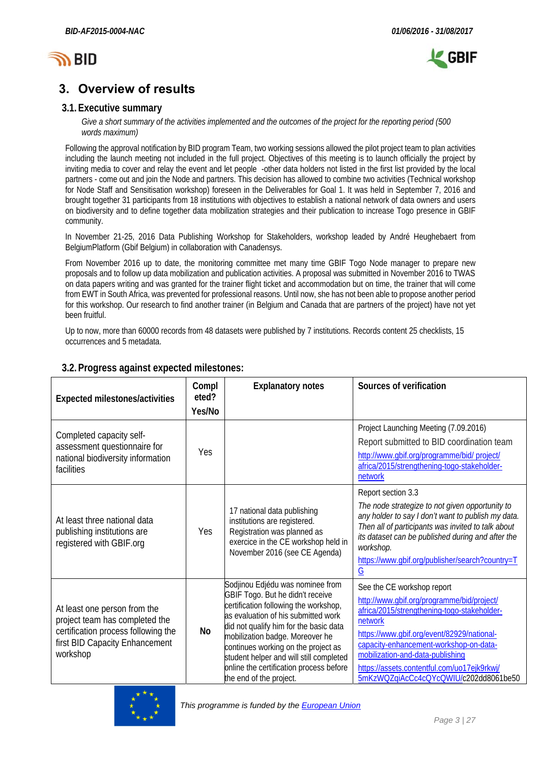



## **3. Overview of results**

#### **3.1.Executive summary**

*Give a short summary of the activities implemented and the outcomes of the project for the reporting period (500 words maximum)* 

Following the approval notification by BID program Team, two working sessions allowed the pilot project team to plan activities including the launch meeting not included in the full project. Objectives of this meeting is to launch officially the project by inviting media to cover and relay the event and let people -other data holders not listed in the first list provided by the local partners - come out and join the Node and partners. This decision has allowed to combine two activities (Technical workshop for Node Staff and Sensitisation workshop) foreseen in the Deliverables for Goal 1. It was held in September 7, 2016 and brought together 31 participants from 18 institutions with objectives to establish a national network of data owners and users on biodiversity and to define together data mobilization strategies and their publication to increase Togo presence in GBIF community.

In November 21-25, 2016 Data Publishing Workshop for Stakeholders, workshop leaded by André Heughebaert from BelgiumPlatform (Gbif Belgium) in collaboration with Canadensys.

From November 2016 up to date, the monitoring committee met many time GBIF Togo Node manager to prepare new proposals and to follow up data mobilization and publication activities. A proposal was submitted in November 2016 to TWAS on data papers writing and was granted for the trainer flight ticket and accommodation but on time, the trainer that will come from EWT in South Africa, was prevented for professional reasons. Until now, she has not been able to propose another period for this workshop. Our research to find another trainer (in Belgium and Canada that are partners of the project) have not yet been fruitful.

Up to now, more than 60000 records from 48 datasets were published by 7 institutions. Records content 25 checklists, 15 occurrences and 5 metadata.

| <b>Expected milestones/activities</b>                                                                                                               | Compl<br>eted?<br>Yes/No | <b>Explanatory notes</b>                                                                                                                                                                                                                                                                                                                                                                  | Sources of verification                                                                                                                                                                                                                                                                                                                                |
|-----------------------------------------------------------------------------------------------------------------------------------------------------|--------------------------|-------------------------------------------------------------------------------------------------------------------------------------------------------------------------------------------------------------------------------------------------------------------------------------------------------------------------------------------------------------------------------------------|--------------------------------------------------------------------------------------------------------------------------------------------------------------------------------------------------------------------------------------------------------------------------------------------------------------------------------------------------------|
| Completed capacity self-<br>assessment questionnaire for<br>national biodiversity information<br>facilities                                         | Yes                      |                                                                                                                                                                                                                                                                                                                                                                                           | Project Launching Meeting (7.09.2016)<br>Report submitted to BID coordination team<br>http://www.gbif.org/programme/bid/ project/<br>africa/2015/strengthening-togo-stakeholder-<br>network                                                                                                                                                            |
| At least three national data<br>publishing institutions are<br>registered with GBIF.org                                                             | Yes                      | 17 national data publishing<br>institutions are registered.<br>Registration was planned as<br>exercice in the CE workshop held in<br>November 2016 (see CE Agenda)                                                                                                                                                                                                                        | Report section 3.3<br>The node strategize to not given opportunity to<br>any holder to say I don't want to publish my data.<br>Then all of participants was invited to talk about<br>its dataset can be published during and after the<br>workshop.<br>https://www.gbif.org/publisher/search?country=T<br>G                                            |
| At least one person from the<br>project team has completed the<br>certification process following the<br>first BID Capacity Enhancement<br>workshop | No                       | Sodjinou Edjédu was nominee from<br>GBIF Togo. But he didn't receive<br>certification following the workshop,<br>as evaluation of his submitted work<br>did not qualify him for the basic data<br>mobilization badge. Moreover he<br>continues working on the project as<br>student helper and will still completed<br>online the certification process before<br>the end of the project. | See the CE workshop report<br>http://www.gbif.org/programme/bid/project/<br>africa/2015/strengthening-togo-stakeholder-<br>network<br>https://www.gbif.org/event/82929/national-<br>capacity-enhancement-workshop-on-data-<br>mobilization-and-data-publishing<br>https://assets.contentful.com/uo17ejk9rkwj/<br>5mKzWQZgiAcCc4cQYcQWIU/c202dd8061be50 |

## **3.2.Progress against expected milestones:**

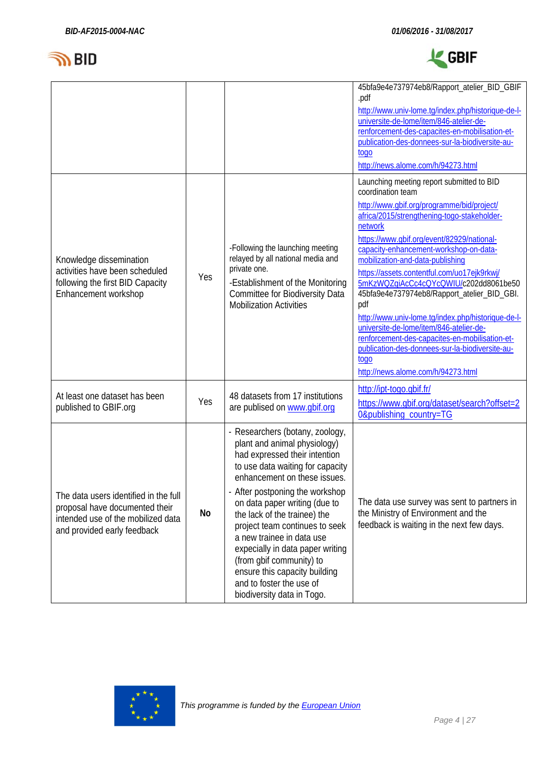

|                                                                                                                                              |     |                                                                                                                                                                                                                                                                                                                                                                                                                                                                                                    | 45bfa9e4e737974eb8/Rapport_atelier_BID_GBIF<br>.pdf<br>http://www.univ-lome.tg/index.php/historique-de-l-<br>universite-de-lome/item/846-atelier-de-<br>renforcement-des-capacites-en-mobilisation-et-<br>publication-des-donnees-sur-la-biodiversite-au-<br>togo<br>http://news.alome.com/h/94273.html                                                                                                                                                                                                                                                                                                                                                                                              |
|----------------------------------------------------------------------------------------------------------------------------------------------|-----|----------------------------------------------------------------------------------------------------------------------------------------------------------------------------------------------------------------------------------------------------------------------------------------------------------------------------------------------------------------------------------------------------------------------------------------------------------------------------------------------------|------------------------------------------------------------------------------------------------------------------------------------------------------------------------------------------------------------------------------------------------------------------------------------------------------------------------------------------------------------------------------------------------------------------------------------------------------------------------------------------------------------------------------------------------------------------------------------------------------------------------------------------------------------------------------------------------------|
| Knowledge dissemination<br>activities have been scheduled<br>following the first BID Capacity<br>Enhancement workshop                        | Yes | -Following the launching meeting<br>relayed by all national media and<br>private one.<br>-Establishment of the Monitoring<br>Committee for Biodiversity Data<br><b>Mobilization Activities</b>                                                                                                                                                                                                                                                                                                     | Launching meeting report submitted to BID<br>coordination team<br>http://www.gbif.org/programme/bid/project/<br>africa/2015/strengthening-togo-stakeholder-<br>network<br>https://www.gbif.org/event/82929/national-<br>capacity-enhancement-workshop-on-data-<br>mobilization-and-data-publishing<br>https://assets.contentful.com/uo17ejk9rkwj/<br>5mKzWQZqiAcCc4cQYcQWIU/c202dd8061be50<br>45bfa9e4e737974eb8/Rapport_atelier_BID_GBI.<br>pdf<br>http://www.univ-lome.tg/index.php/historique-de-l-<br>universite-de-lome/item/846-atelier-de-<br>renforcement-des-capacites-en-mobilisation-et-<br>publication-des-donnees-sur-la-biodiversite-au-<br>togo<br>http://news.alome.com/h/94273.html |
| At least one dataset has been<br>published to GBIF.org                                                                                       | Yes | 48 datasets from 17 institutions<br>are publised on www.gbif.org                                                                                                                                                                                                                                                                                                                                                                                                                                   | http://ipt-togo.gbif.fr/<br>https://www.gbif.org/dataset/search?offset=2<br>0&publishing_country=TG                                                                                                                                                                                                                                                                                                                                                                                                                                                                                                                                                                                                  |
| The data users identified in the full<br>proposal have documented their<br>intended use of the mobilized data<br>and provided early feedback | No  | - Researchers (botany, zoology,<br>plant and animal physiology)<br>had expressed their intention<br>to use data waiting for capacity<br>enhancement on these issues.<br>- After postponing the workshop<br>on data paper writing (due to<br>the lack of the trainee) the<br>project team continues to seek<br>a new trainee in data use<br>expecially in data paper writing<br>(from gbif community) to<br>ensure this capacity building<br>and to foster the use of<br>biodiversity data in Togo. | The data use survey was sent to partners in<br>the Ministry of Environment and the<br>feedback is waiting in the next few days.                                                                                                                                                                                                                                                                                                                                                                                                                                                                                                                                                                      |

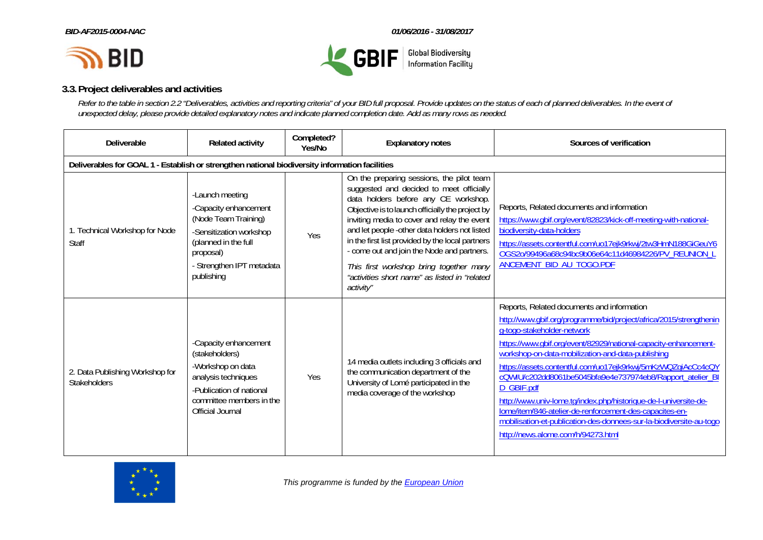*01/06/2016 - 31/08/2017*





## **3.3.Project deliverables and activities**

Refer to the table in section 2.2 "Deliverables, activities and reporting criteria" of your BID full proposal. Provide updates on the status of each of planned deliverables. In the event of *unexpected delay, please provide detailed explanatory notes and indicate planned completion date. Add as many rows as needed.* 

| <b>Related activity</b><br>Deliverable                                                         |                                                                                                                                                                             | Completed?<br>Yes/No | <b>Explanatory notes</b>                                                                                                                                                                                                                                                                                                                                                                                                                                                                     | Sources of verification                                                                                                                                                                                                                                                                                                                                                                                                                                                                                                                                                                                                                                       |
|------------------------------------------------------------------------------------------------|-----------------------------------------------------------------------------------------------------------------------------------------------------------------------------|----------------------|----------------------------------------------------------------------------------------------------------------------------------------------------------------------------------------------------------------------------------------------------------------------------------------------------------------------------------------------------------------------------------------------------------------------------------------------------------------------------------------------|---------------------------------------------------------------------------------------------------------------------------------------------------------------------------------------------------------------------------------------------------------------------------------------------------------------------------------------------------------------------------------------------------------------------------------------------------------------------------------------------------------------------------------------------------------------------------------------------------------------------------------------------------------------|
| Deliverables for GOAL 1 - Establish or strengthen national biodiversity information facilities |                                                                                                                                                                             |                      |                                                                                                                                                                                                                                                                                                                                                                                                                                                                                              |                                                                                                                                                                                                                                                                                                                                                                                                                                                                                                                                                                                                                                                               |
| 1. Technical Workshop for Node<br>Staff                                                        | -Launch meeting<br>-Capacity enhancement<br>(Node Team Training)<br>-Sensitization workshop<br>(planned in the full<br>proposal)<br>- Strengthen IPT metadata<br>publishing | Yes                  | On the preparing sessions, the pilot team<br>suggested and decided to meet officially<br>data holders before any CE workshop.<br>Objective is to launch officially the project by<br>inviting media to cover and relay the event<br>and let people -other data holders not listed<br>in the first list provided by the local partners<br>- come out and join the Node and partners.<br>This first workshop bring together many<br>"activities short name" as listed in "related<br>activity" | Reports, Related documents and information<br>https://www.gbif.org/event/82823/kick-off-meeting-with-national-<br>biodiversity-data-holders<br>https://assets.contentful.com/uo17ejk9rkwj/2tw3HmN188GiGeuY6<br>OGS2o/99496a68c94bc9b06e64c11d46984226/PV_REUNION_I<br>ANCEMENT_BID_AU_TOGO.PDF                                                                                                                                                                                                                                                                                                                                                                |
| 2. Data Publishing Workshop for<br><b>Stakeholders</b>                                         | -Capacity enhancement<br>(stakeholders)<br>-Workshop on data<br>analysis techniques<br>-Publication of national<br>committee members in the<br><b>Official Journal</b>      | Yes                  | 14 media outlets including 3 officials and<br>the communication department of the<br>University of Lomé participated in the<br>media coverage of the workshop                                                                                                                                                                                                                                                                                                                                | Reports, Related documents and information<br>http://www.gbif.org/programme/bid/project/africa/2015/strengthenin<br>g-togo-stakeholder-network<br>https://www.gbif.org/event/82929/national-capacity-enhancement-<br>workshop-on-data-mobilization-and-data-publishing<br>https://assets.contentful.com/uo17ejk9rkwj/5mKzWQZqiAcCc4cQY<br>cQWIU/c202dd8061be5045bfa9e4e737974eb8/Rapport_atelier_BI<br>D_GBIF.pdf<br>http://www.univ-lome.tg/index.php/historique-de-l-universite-de-<br>lome/item/846-atelier-de-renforcement-des-capacites-en-<br>mobilisation-et-publication-des-donnees-sur-la-biodiversite-au-togo<br>http://news.alome.com/h/94273.html |

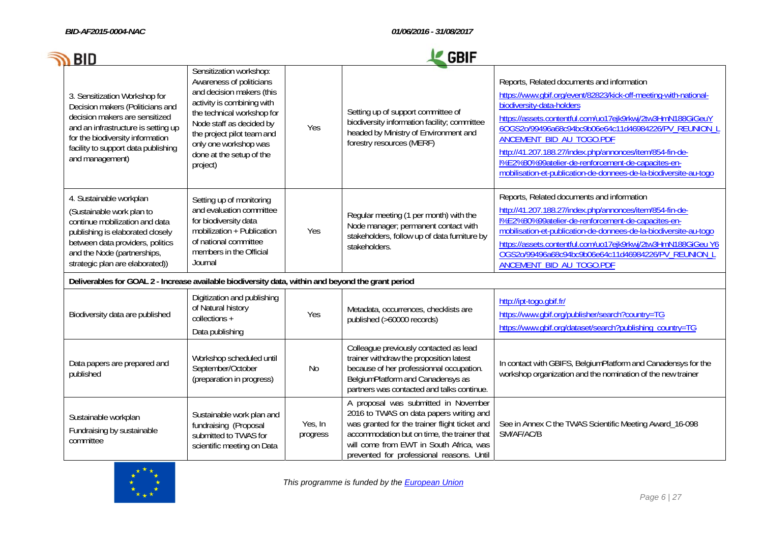| <b>BID</b>                                                                                                                                                                                                                               |                                                                                                                                                                                                                                                                         |                     | <b>GBIF</b>                                                                                                                                                                                                                |                                                                                                                                                                                                                                                                                                                                                                                                                                                                                       |
|------------------------------------------------------------------------------------------------------------------------------------------------------------------------------------------------------------------------------------------|-------------------------------------------------------------------------------------------------------------------------------------------------------------------------------------------------------------------------------------------------------------------------|---------------------|----------------------------------------------------------------------------------------------------------------------------------------------------------------------------------------------------------------------------|---------------------------------------------------------------------------------------------------------------------------------------------------------------------------------------------------------------------------------------------------------------------------------------------------------------------------------------------------------------------------------------------------------------------------------------------------------------------------------------|
| 3. Sensitization Workshop for<br>Decision makers (Politicians and<br>decision makers are sensitized<br>and an infrastructure is setting up<br>for the biodiversity information<br>facility to support data publishing<br>and management) | Sensitization workshop:<br>Awareness of politicians<br>and decision makers (this<br>activity is combining with<br>the technical workshop for<br>Node staff as decided by<br>the project pilot team and<br>only one workshop was<br>done at the setup of the<br>project) | Yes                 | Setting up of support committee of<br>biodiversity information facility; committee<br>headed by Ministry of Environment and<br>forestry resources (MERF)                                                                   | Reports, Related documents and information<br>https://www.qbif.org/event/82823/kick-off-meeting-with-national-<br>biodiversity-data-holders<br>https://assets.contentful.com/uo17ejk9rkwj/2tw3HmN188GiGeuY<br>6OGS20/99496a68c94bc9b06e64c11d46984226/PV REUNION L<br>ANCEMENT BID AU TOGO.PDF<br>http://41.207.188.27/index.php/annonces/item/854-fin-de-<br>I%E2%80%99atelier-de-renforcement-de-capacites-en-<br>mobilisation-et-publication-de-donnees-de-la-biodiversite-au-togo |
| 4. Sustainable workplan<br>(Sustainable work plan to<br>continue mobilization and data<br>publishing is elaborated closely<br>between data providers, politics<br>and the Node (partnerships,<br>strategic plan are elaborated))         | Setting up of monitoring<br>and evaluation committee<br>for biodiversity data<br>mobilization + Publication<br>of national committee<br>members in the Official<br>Journal                                                                                              | Yes                 | Regular meeting (1 per month) with the<br>Node manager; permanent contact with<br>stakeholders, follow up of data furniture by<br>stakeholders.                                                                            | Reports, Related documents and information<br>http://41.207.188.27/index.php/annonces/item/854-fin-de-<br>I%E2%80%99atelier-de-renforcement-de-capacites-en-<br>mobilisation-et-publication-de-donnees-de-la-biodiversite-au-togo<br>https://assets.contentful.com/uo17ejk9rkwj/2tw3HmN188GiGeu Y6<br>OGS20/99496a68c94bc9b06e64c11d46984226/PV_REUNION_L<br>ANCEMENT BID AU TOGO.PDF                                                                                                 |
| Deliverables for GOAL 2 - Increase available biodiversity data, within and beyond the grant period                                                                                                                                       |                                                                                                                                                                                                                                                                         |                     |                                                                                                                                                                                                                            |                                                                                                                                                                                                                                                                                                                                                                                                                                                                                       |
| Biodiversity data are published                                                                                                                                                                                                          | Digitization and publishing<br>of Natural history<br>collections +<br>Data publishing                                                                                                                                                                                   | Yes                 | Metadata, occurrences, checklists are<br>published (>60000 records)                                                                                                                                                        | http://ipt-togo.gbif.fr/<br>https://www.gbif.org/publisher/search?country=TG<br>https://www.gbif.org/dataset/search?publishing_country=TG                                                                                                                                                                                                                                                                                                                                             |
| Data papers are prepared and<br>published                                                                                                                                                                                                | Workshop scheduled until<br>September/October<br>(preparation in progress)                                                                                                                                                                                              | No                  | Colleague previously contacted as lead<br>trainer withdraw the proposition latest<br>because of her professionnal occupation.<br>BelgiumPlatform and Canadensys as<br>partners was contacted and talks continue.           | In contact with GBIFS, BelgiumPlatform and Canadensys for the<br>workshop organization and the nomination of the new trainer                                                                                                                                                                                                                                                                                                                                                          |
| Sustainable workplan<br>Fundraising by sustainable<br>committee                                                                                                                                                                          | Sustainable work plan and<br>fundraising (Proposal<br>submitted to TWAS for<br>scientific meeting on Data                                                                                                                                                               | Yes, In<br>progress | A proposal was submitted in November<br>2016 to TWAS on data papers writing and<br>was granted for the trainer flight ticket and<br>accommodation but on time, the trainer that<br>will come from EWT in South Africa, was | See in Annex C the TWAS Scientific Meeting Award_16-098<br>SM/AF/AC/B                                                                                                                                                                                                                                                                                                                                                                                                                 |



prevented for professional reasons. Until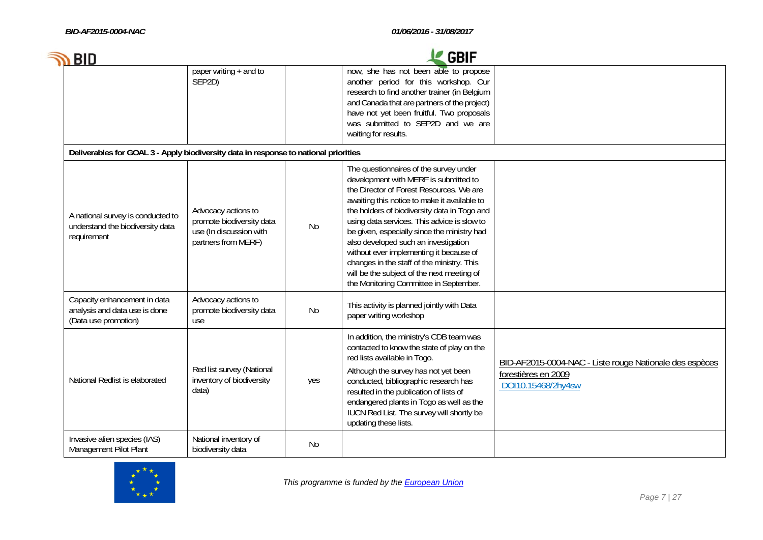| BID                                                                                   |                                                                                                    |           | <b>GBIF</b>                                                                                                                                                                                                                                                                                                                                                                                                                                                                                                                                        |                                                                                                      |
|---------------------------------------------------------------------------------------|----------------------------------------------------------------------------------------------------|-----------|----------------------------------------------------------------------------------------------------------------------------------------------------------------------------------------------------------------------------------------------------------------------------------------------------------------------------------------------------------------------------------------------------------------------------------------------------------------------------------------------------------------------------------------------------|------------------------------------------------------------------------------------------------------|
|                                                                                       | paper writing $+$ and to<br>SEP2D)                                                                 |           | now, she has not been able to propose<br>another period for this workshop. Our<br>research to find another trainer (in Belgium<br>and Canada that are partners of the project)<br>have not yet been fruitful. Two proposals<br>was submitted to SEP2D and we are<br>waiting for results.                                                                                                                                                                                                                                                           |                                                                                                      |
| Deliverables for GOAL 3 - Apply biodiversity data in response to national priorities  |                                                                                                    |           |                                                                                                                                                                                                                                                                                                                                                                                                                                                                                                                                                    |                                                                                                      |
| A national survey is conducted to<br>understand the biodiversity data<br>requirement  | Advocacy actions to<br>promote biodiversity data<br>use (In discussion with<br>partners from MERF) | <b>No</b> | The questionnaires of the survey under<br>development with MERF is submitted to<br>the Director of Forest Resources. We are<br>awaiting this notice to make it available to<br>the holders of biodiversity data in Togo and<br>using data services. This advice is slow to<br>be given, especially since the ministry had<br>also developed such an investigation<br>without ever implementing it because of<br>changes in the staff of the ministry. This<br>will be the subject of the next meeting of<br>the Monitoring Committee in September. |                                                                                                      |
| Capacity enhancement in data<br>analysis and data use is done<br>(Data use promotion) | Advocacy actions to<br>promote biodiversity data<br>use                                            | <b>No</b> | This activity is planned jointly with Data<br>paper writing workshop                                                                                                                                                                                                                                                                                                                                                                                                                                                                               |                                                                                                      |
| National Redlist is elaborated                                                        | Red list survey (National<br>inventory of biodiversity<br>data)                                    | yes       | In addition, the ministry's CDB team was<br>contacted to know the state of play on the<br>red lists available in Togo.<br>Although the survey has not yet been<br>conducted, bibliographic research has<br>resulted in the publication of lists of<br>endangered plants in Togo as well as the<br>IUCN Red List. The survey will shortly be<br>updating these lists.                                                                                                                                                                               | BID-AF2015-0004-NAC - Liste rouge Nationale des espèces<br>forestières en 2009<br>DOI10.15468/2hy4sw |
| Invasive alien species (IAS)<br>Management Pilot Plant                                | National inventory of<br>biodiversity data                                                         | <b>No</b> |                                                                                                                                                                                                                                                                                                                                                                                                                                                                                                                                                    |                                                                                                      |

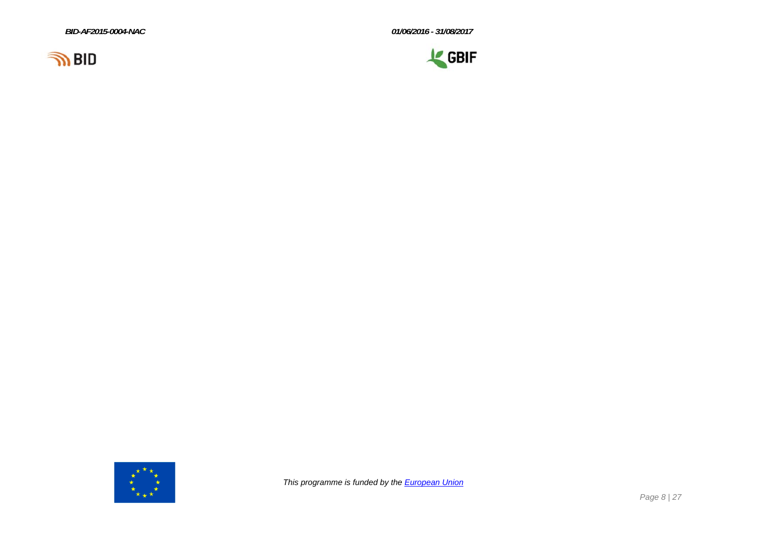*BID-AF2015-0004-NAC*

*01/06/2016 - 31/08/2017*





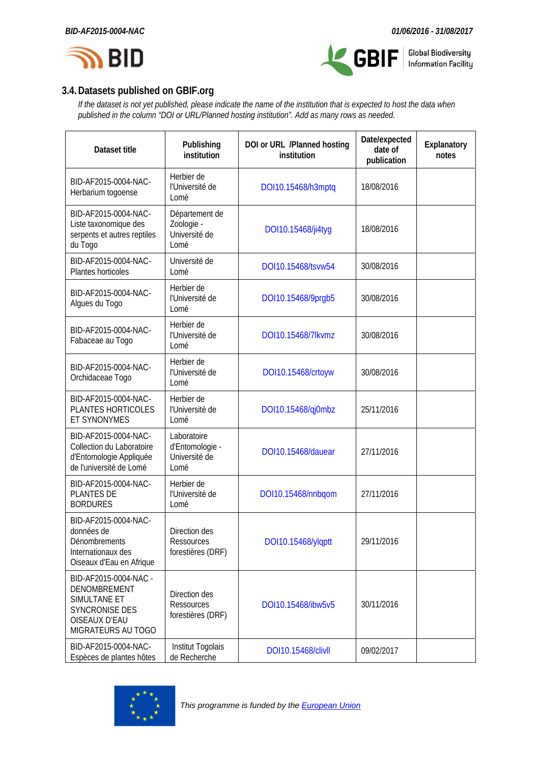



Global Biodiversity<br>Information Facility

## **3.4.Datasets published on GBIF.org**

*If the dataset is not yet published, please indicate the name of the institution that is expected to host the data when published in the column "DOI or URL/Planned hosting institution". Add as many rows as needed.* 

| Dataset title                                                                                                         | Publishing<br>institution                               | DOI or URL /Planned hosting<br>institution | Date/expected<br>date of<br>publication | Explanatory<br>notes |
|-----------------------------------------------------------------------------------------------------------------------|---------------------------------------------------------|--------------------------------------------|-----------------------------------------|----------------------|
| BID-AF2015-0004-NAC-<br>Herbarium togoense                                                                            | Herbier de<br>l'Université de<br>Lomé                   | DOI10.15468/h3mptq                         | 18/08/2016                              |                      |
| BID-AF2015-0004-NAC-<br>Liste taxonomique des<br>serpents et autres reptiles<br>du Togo                               | Département de<br>Zoologie -<br>Université de<br>Lomé   | DOI10.15468/ji4tyg                         | 18/08/2016                              |                      |
| BID-AF2015-0004-NAC-<br>Plantes horticoles                                                                            | Université de<br>Lomé                                   | DOI10.15468/tsvw54                         | 30/08/2016                              |                      |
| BID-AF2015-0004-NAC-<br>Algues du Togo                                                                                | Herbier de<br>l'Université de<br>Lomé                   | DOI10.15468/9prgb5                         | 30/08/2016                              |                      |
| BID-AF2015-0004-NAC-<br>Fabaceae au Togo                                                                              | Herbier de<br>l'Université de<br>Lomé                   | DOI10.15468/7lkvmz                         | 30/08/2016                              |                      |
| BID-AF2015-0004-NAC-<br>Orchidaceae Togo                                                                              | Herbier de<br>l'Université de<br>Lomé                   | DOI10.15468/crtoyw                         | 30/08/2016                              |                      |
| BID-AF2015-0004-NAC-<br>PLANTES HORTICOLES<br>ET SYNONYMES                                                            | Herbier de<br>l'Université de<br>Lomé                   | DOI10.15468/qj0mbz                         | 25/11/2016                              |                      |
| BID-AF2015-0004-NAC-<br>Collection du Laboratoire<br>d'Entomologie Appliquée<br>de l'université de Lomé               | Laboratoire<br>d'Entomologie -<br>Université de<br>Lomé | DOI10.15468/dauear                         | 27/11/2016                              |                      |
| BID-AF2015-0004-NAC-<br><b>PLANTES DE</b><br><b>BORDURES</b>                                                          | Herbier de<br>l'Université de<br>Lomé                   | DOI10.15468/nnbqom                         | 27/11/2016                              |                      |
| BID-AF2015-0004-NAC-<br>données de<br>Dénombrements<br>Internationaux des<br>Oiseaux d'Eau en Afrique                 | Direction des<br>Ressources<br>forestières (DRF)        | DOI10.15468/ylqptt                         | 29/11/2016                              |                      |
| BID-AF2015-0004-NAC -<br>DENOMBREMENT<br>SIMULTANE ET<br>SYNCRONISE DES<br><b>OISEAUX D'EAU</b><br>MIGRATEURS AU TOGO | Direction des<br><b>Ressources</b><br>forestières (DRF) | DOI10.15468/ibw5v5                         | 30/11/2016                              |                      |
| BID-AF2015-0004-NAC-<br>Espèces de plantes hôtes                                                                      | Institut Togolais<br>de Recherche                       | DOI10.15468/clivll                         | 09/02/2017                              |                      |

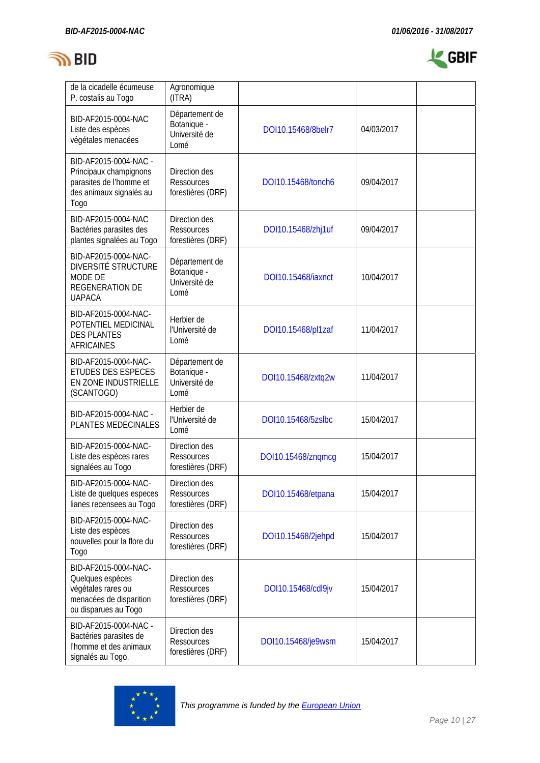



| de la cicadelle écumeuse<br>P. costalis au Togo                                                                      | Agronomique<br>(ITRA)                                   |                    |            |  |
|----------------------------------------------------------------------------------------------------------------------|---------------------------------------------------------|--------------------|------------|--|
| BID-AF2015-0004-NAC<br>Liste des espèces<br>végétales menacées                                                       | Département de<br>Botanique -<br>Université de<br>Lomé  | DOI10.15468/8belr7 | 04/03/2017 |  |
| BID-AF2015-0004-NAC -<br>Principaux champignons<br>parasites de l'homme et<br>des animaux signalés au<br><b>Togo</b> | Direction des<br><b>Ressources</b><br>forestières (DRF) | DOI10.15468/tonch6 | 09/04/2017 |  |
| BID-AF2015-0004-NAC<br>Bactéries parasites des<br>plantes signalées au Togo                                          | Direction des<br><b>Ressources</b><br>forestières (DRF) | DOI10.15468/zhj1uf | 09/04/2017 |  |
| BID-AF2015-0004-NAC-<br>DIVERSITÉ STRUCTURE<br>MODE DE<br><b>REGENERATION DE</b><br><b>UAPACA</b>                    | Département de<br>Botanique -<br>Université de<br>Lomé  | DOI10.15468/jaxnct | 10/04/2017 |  |
| BID-AF2015-0004-NAC-<br>POTENTIEL MEDICINAL<br><b>DES PLANTES</b><br><b>AFRICAINES</b>                               | Herbier de<br>l'Université de<br>Lomé                   | DOI10.15468/pl1zaf | 11/04/2017 |  |
| BID-AF2015-0004-NAC-<br>ETUDES DES ESPECES<br>EN ZONE INDUSTRIELLE<br>(SCANTOGO)                                     | Département de<br>Botanique -<br>Université de<br>Lomé  | DOI10.15468/zxtq2w | 11/04/2017 |  |
| BID-AF2015-0004-NAC -<br><b>PLANTES MEDECINALES</b>                                                                  | Herbier de<br>l'Université de<br>Lomé                   | DOI10.15468/5zslbc | 15/04/2017 |  |
| BID-AF2015-0004-NAC-<br>Liste des espèces rares<br>signalées au Togo                                                 | Direction des<br>Ressources<br>forestières (DRF)        | DOI10.15468/znqmcg | 15/04/2017 |  |
| BID-AF2015-0004-NAC-<br>Liste de quelques especes<br>lianes recensees au Togo                                        | Direction des<br>Ressources<br>forestières (DRF)        | DOI10.15468/etpana | 15/04/2017 |  |
| BID-AF2015-0004-NAC-<br>Liste des espèces<br>nouvelles pour la flore du<br>Togo                                      | Direction des<br>Ressources<br>forestières (DRF)        | DOI10.15468/2jehpd | 15/04/2017 |  |
| BID-AF2015-0004-NAC-<br>Quelques espèces<br>végétales rares ou<br>menacées de disparition<br>ou disparues au Togo    | Direction des<br>Ressources<br>forestières (DRF)        | DOI10.15468/cdl9jv | 15/04/2017 |  |
| BID-AF2015-0004-NAC -<br>Bactéries parasites de<br>l'homme et des animaux<br>signalés au Togo.                       | Direction des<br>Ressources<br>forestières (DRF)        | DOI10.15468/je9wsm | 15/04/2017 |  |

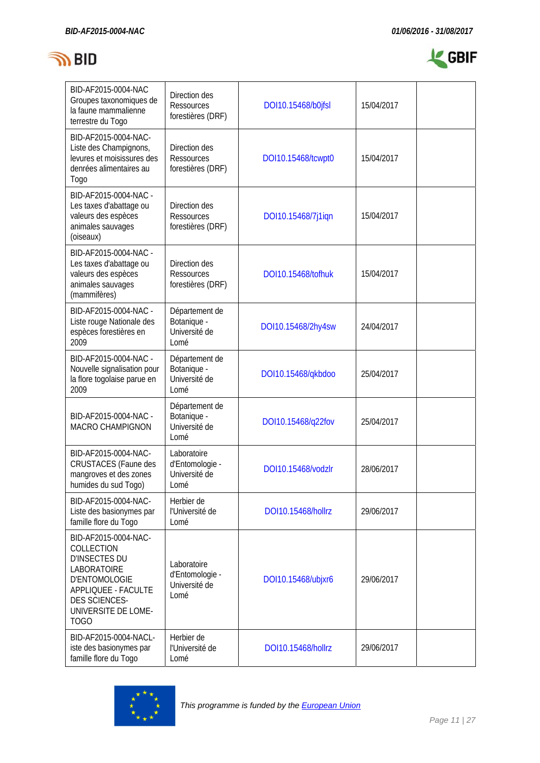

| BID-AF2015-0004-NAC<br>Groupes taxonomiques de<br>la faune mammalienne<br>terrestre du Togo                                                                | Direction des<br>Ressources<br>forestières (DRF)        | DOI10.15468/b0jfsl | 15/04/2017 |  |
|------------------------------------------------------------------------------------------------------------------------------------------------------------|---------------------------------------------------------|--------------------|------------|--|
| BID-AF2015-0004-NAC-<br>Liste des Champignons,<br>levures et moisissures des<br>denrées alimentaires au<br><b>Togo</b>                                     | Direction des<br>Ressources<br>forestières (DRF)        | DOI10.15468/tcwpt0 | 15/04/2017 |  |
| BID-AF2015-0004-NAC -<br>Les taxes d'abattage ou<br>valeurs des espèces<br>animales sauvages<br>(oiseaux)                                                  | Direction des<br>Ressources<br>forestières (DRF)        | DOI10.15468/7j1iqn | 15/04/2017 |  |
| BID-AF2015-0004-NAC -<br>Les taxes d'abattage ou<br>valeurs des espèces<br>animales sauvages<br>(mammifères)                                               | Direction des<br>Ressources<br>forestières (DRF)        | DOI10.15468/tofhuk | 15/04/2017 |  |
| BID-AF2015-0004-NAC -<br>Liste rouge Nationale des<br>espèces forestières en<br>2009                                                                       | Département de<br>Botanique -<br>Université de<br>Lomé  | DOI10.15468/2hy4sw | 24/04/2017 |  |
| BID-AF2015-0004-NAC -<br>Nouvelle signalisation pour<br>la flore togolaise parue en<br>2009                                                                | Département de<br>Botanique -<br>Université de<br>Lomé  | DOI10.15468/qkbdoo | 25/04/2017 |  |
| BID-AF2015-0004-NAC -<br>MACRO CHAMPIGNON                                                                                                                  | Département de<br>Botanique -<br>Université de<br>Lomé  | DOI10.15468/q22fov | 25/04/2017 |  |
| BID-AF2015-0004-NAC-<br><b>CRUSTACES</b> (Faune des<br>mangroves et des zones<br>humides du sud Togo)                                                      | Laboratoire<br>d'Entomologie -<br>Université de<br>Lomé | DOI10.15468/vodzlr | 28/06/2017 |  |
| BID-AF2015-0004-NAC-<br>Liste des basionymes par<br>famille flore du Togo                                                                                  | Herbier de<br>l'Université de<br>Lomé                   | DOI10.15468/hollrz | 29/06/2017 |  |
| BID-AF2015-0004-NAC-<br>COLLECTION<br>D'INSECTES DU<br>LABORATOIRE<br>D'ENTOMOLOGIE<br>APPLIQUEE - FACULTE<br>DES SCIENCES-<br>UNIVERSITE DE LOME-<br>TOGO | Laboratoire<br>d'Entomologie -<br>Université de<br>Lomé | DOI10.15468/ubjxr6 | 29/06/2017 |  |
| BID-AF2015-0004-NACL-<br>iste des basionymes par<br>famille flore du Togo                                                                                  | Herbier de<br>l'Université de<br>Lomé                   | DOI10.15468/hollrz | 29/06/2017 |  |

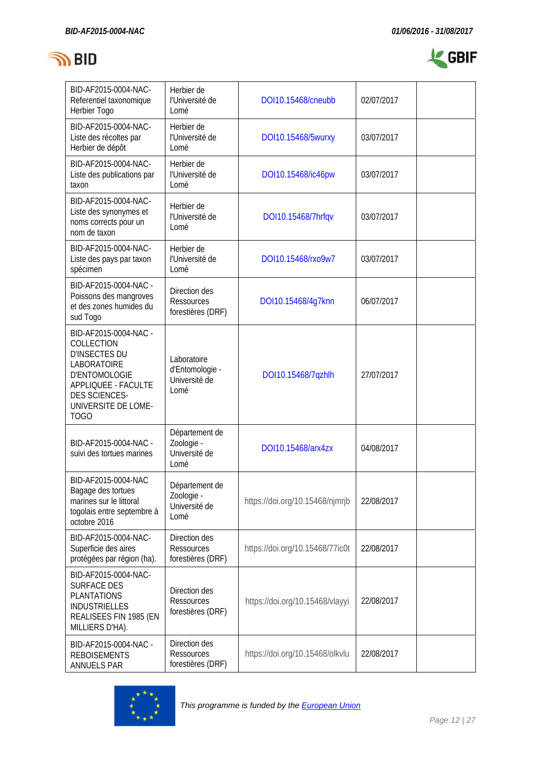



| BID-AF2015-0004-NAC-<br>Referentiel taxonomique<br>Herbier Togo                                                                                                    | Herbier de<br>l'Université de<br>Lomé                   | DOI10.15468/cneubb              | 02/07/2017 |  |
|--------------------------------------------------------------------------------------------------------------------------------------------------------------------|---------------------------------------------------------|---------------------------------|------------|--|
| BID-AF2015-0004-NAC-<br>Liste des récoltes par<br>Herbier de dépôt                                                                                                 | Herbier de<br>l'Université de<br>Lomé                   | DOI10.15468/5wurxy              | 03/07/2017 |  |
| BID-AF2015-0004-NAC-<br>Liste des publications par<br>taxon                                                                                                        | Herbier de<br>l'Université de<br>Lomé                   | DOI10.15468/ic46pw              | 03/07/2017 |  |
| BID-AF2015-0004-NAC-<br>Liste des synonymes et<br>noms corrects pour un<br>nom de taxon                                                                            | Herbier de<br>l'Université de<br>Lomé                   | DOI10.15468/7hrfqv              | 03/07/2017 |  |
| BID-AF2015-0004-NAC-<br>Liste des pays par taxon<br>spécimen                                                                                                       | Herbier de<br>l'Université de<br>Lomé                   | DOI10.15468/rxo9w7              | 03/07/2017 |  |
| BID-AF2015-0004-NAC -<br>Poissons des mangroves<br>et des zones humides du<br>sud Togo                                                                             | Direction des<br><b>Ressources</b><br>forestières (DRF) | DOI10.15468/4g7knn              | 06/07/2017 |  |
| BID-AF2015-0004-NAC -<br>COLLECTION<br>D'INSECTES DU<br>LABORATOIRE<br>D'ENTOMOLOGIE<br>APPLIQUEE - FACULTE<br><b>DES SCIENCES-</b><br>UNIVERSITE DE LOME-<br>TOGO | Laboratoire<br>d'Entomologie -<br>Université de<br>Lomé | DOI10.15468/7qzhlh              | 27/07/2017 |  |
| BID-AF2015-0004-NAC -<br>suivi des tortues marines                                                                                                                 | Département de<br>Zoologie -<br>Université de<br>Lomé   | DOI10.15468/arx4zx              | 04/08/2017 |  |
| BID-AF2015-0004-NAC<br>Bagage des tortues<br>marines sur le littoral<br>togolais entre septembre à<br>octobre 2016                                                 | Département de<br>Zoologie -<br>Université de<br>Lomé   | https://doi.org/10.15468/njmrjb | 22/08/2017 |  |
| BID-AF2015-0004-NAC-<br>Superficie des aires<br>protégées par région (ha).                                                                                         | Direction des<br><b>Ressources</b><br>forestières (DRF) | https://doi.org/10.15468/77ic0t | 22/08/2017 |  |
| BID-AF2015-0004-NAC-<br><b>SURFACE DES</b><br><b>PLANTATIONS</b><br><b>INDUSTRIELLES</b><br>REALISEES FIN 1985 (EN<br>MILLIERS D'HA).                              | Direction des<br><b>Ressources</b><br>forestières (DRF) | https://doi.org/10.15468/vlayyi | 22/08/2017 |  |
| BID-AF2015-0004-NAC -<br><b>REBOISEMENTS</b><br><b>ANNUELS PAR</b>                                                                                                 | Direction des<br>Ressources<br>forestières (DRF)        | https://doi.org/10.15468/olkvlu | 22/08/2017 |  |

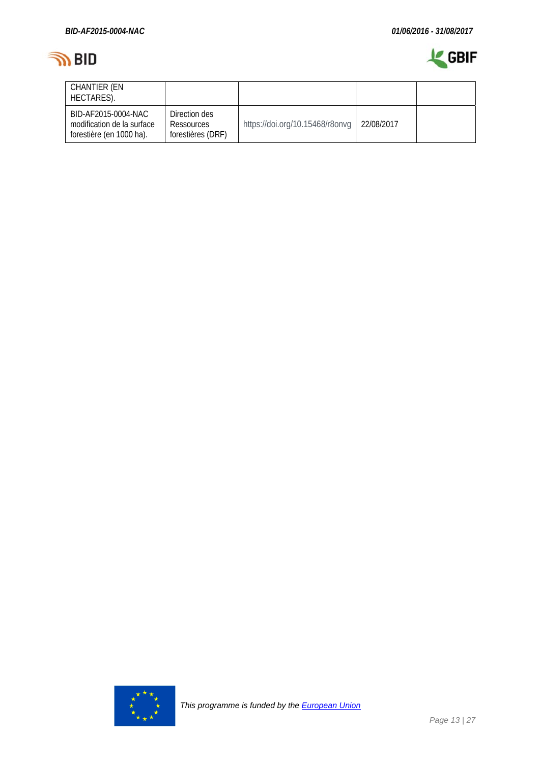



| CHANTIER (EN<br>HECTARES).                                                    |                                                  |                                 |            |  |
|-------------------------------------------------------------------------------|--------------------------------------------------|---------------------------------|------------|--|
| BID-AF2015-0004-NAC<br>modification de la surface<br>forestière (en 1000 ha). | Direction des<br>Ressources<br>forestières (DRF) | https://doi.org/10.15468/r8onvg | 22/08/2017 |  |

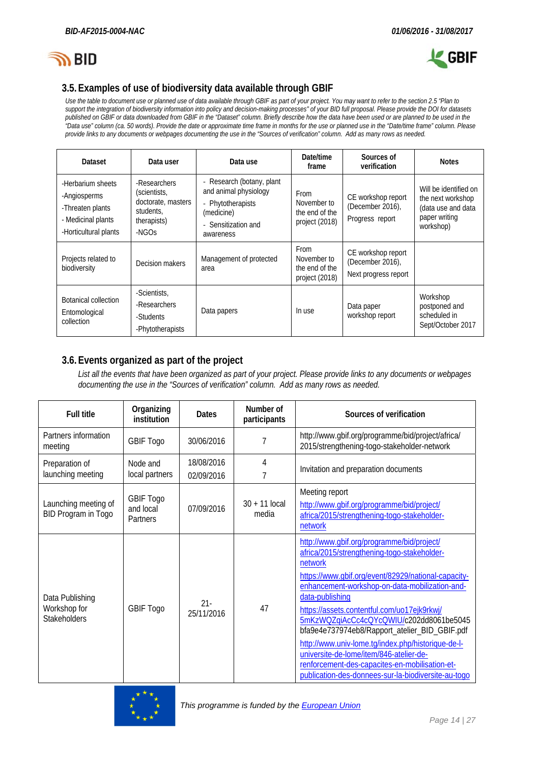



## **3.5.Examples of use of biodiversity data available through GBIF**

*Use the table to document use or planned use of data available through GBIF as part of your project. You may want to refer to the section 2.5 "Plan to support the integration of biodiversity information into policy and decision-making processes" of your BID full proposal. Please provide the DOI for datasets published on GBIF or data downloaded from GBIF in the "Dataset" column. Briefly describe how the data have been used or are planned to be used in the "Data use" column (ca. 50 words). Provide the date or approximate time frame in months for the use or planned use in the "Date/time frame" column. Please provide links to any documents or webpages documenting the use in the "Sources of verification" column. Add as many rows as needed.* 

| Dataset                                                                                              | Data user                                                                               | Data use                                                                                                                  | Date/time<br>frame                                      | Sources of<br>verification                                     | <b>Notes</b>                                                                                   |
|------------------------------------------------------------------------------------------------------|-----------------------------------------------------------------------------------------|---------------------------------------------------------------------------------------------------------------------------|---------------------------------------------------------|----------------------------------------------------------------|------------------------------------------------------------------------------------------------|
| -Herbarium sheets<br>-Angiosperms<br>-Threaten plants<br>- Medicinal plants<br>-Horticultural plants | -Researchers<br>(scientists,<br>doctorate, masters<br>students.<br>therapists)<br>-NGOs | - Research (botany, plant<br>and animal physiology<br>- Phytotherapists<br>(medicine)<br>- Sensitization and<br>awareness | From<br>November to<br>the end of the<br>project (2018) | CE workshop report<br>(December 2016),<br>Progress report      | Will be identified on<br>the next workshop<br>(data use and data<br>paper writing<br>workshop) |
| Projects related to<br>biodiversity                                                                  | Decision makers                                                                         | Management of protected<br>area                                                                                           | From<br>November to<br>the end of the<br>project (2018) | CE workshop report<br>(December 2016),<br>Next progress report |                                                                                                |
| <b>Botanical collection</b><br>Entomological<br>collection                                           | -Scientists.<br>-Researchers<br>-Students<br>-Phytotherapists                           | Data papers                                                                                                               | In use                                                  | Data paper<br>workshop report                                  | Workshop<br>postponed and<br>scheduled in<br>Sept/October 2017                                 |

## **3.6.Events organized as part of the project**

*List all the events that have been organized as part of your project. Please provide links to any documents or webpages documenting the use in the "Sources of verification" column. Add as many rows as needed.* 

| <b>Full title</b>                                      | Organizing<br>institution                 | <b>Dates</b>             | Number of<br>participants | Sources of verification                                                                                                                                                                                                                                                                                                                                                                                                                                                                                                                                                               |
|--------------------------------------------------------|-------------------------------------------|--------------------------|---------------------------|---------------------------------------------------------------------------------------------------------------------------------------------------------------------------------------------------------------------------------------------------------------------------------------------------------------------------------------------------------------------------------------------------------------------------------------------------------------------------------------------------------------------------------------------------------------------------------------|
| Partners information<br>meeting                        | <b>GBIF Togo</b>                          | 30/06/2016               | 7                         | http://www.gbif.org/programme/bid/project/africa/<br>2015/strengthening-togo-stakeholder-network                                                                                                                                                                                                                                                                                                                                                                                                                                                                                      |
| Preparation of<br>launching meeting                    | Node and<br>local partners                | 18/08/2016<br>02/09/2016 | 4                         | Invitation and preparation documents                                                                                                                                                                                                                                                                                                                                                                                                                                                                                                                                                  |
| Launching meeting of<br>BID Program in Togo            | <b>GBIF Togo</b><br>and local<br>Partners | 07/09/2016               | $30 + 11$ local<br>media  | Meeting report<br>http://www.gbif.org/programme/bid/project/<br>africa/2015/strengthening-togo-stakeholder-<br>network                                                                                                                                                                                                                                                                                                                                                                                                                                                                |
| Data Publishing<br>Workshop for<br><b>Stakeholders</b> | <b>GBIF Togo</b>                          | $21 -$<br>25/11/2016     | 47                        | http://www.gbif.org/programme/bid/project/<br>africa/2015/strengthening-togo-stakeholder-<br>network<br>https://www.gbif.org/event/82929/national-capacity-<br>enhancement-workshop-on-data-mobilization-and-<br>data-publishing<br>https://assets.contentful.com/uo17ejk9rkwj/<br>5mKzWQZqiAcCc4cQYcQWIU/c202dd8061be5045<br>bfa9e4e737974eb8/Rapport_atelier_BID_GBIF.pdf<br>http://www.univ-lome.tg/index.php/historique-de-l-<br>universite-de-lome/item/846-atelier-de-<br>renforcement-des-capacites-en-mobilisation-et-<br>publication-des-donnees-sur-la-biodiversite-au-togo |

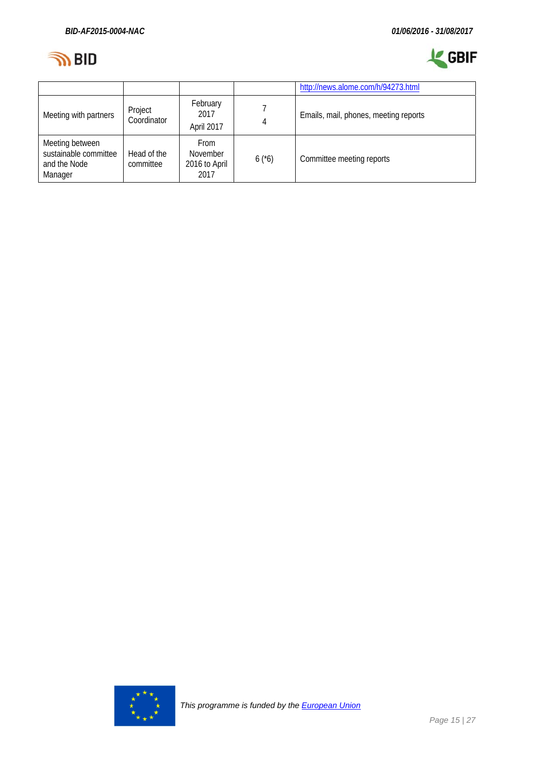



|                                                                     |                          |                                           |        | http://news.alome.com/h/94273.html    |
|---------------------------------------------------------------------|--------------------------|-------------------------------------------|--------|---------------------------------------|
| Meeting with partners                                               | Project<br>Coordinator   | February<br>2017<br>April 2017            | 4      | Emails, mail, phones, meeting reports |
| Meeting between<br>sustainable committee<br>and the Node<br>Manager | Head of the<br>committee | From<br>November<br>2016 to April<br>2017 | $6(*)$ | Committee meeting reports             |

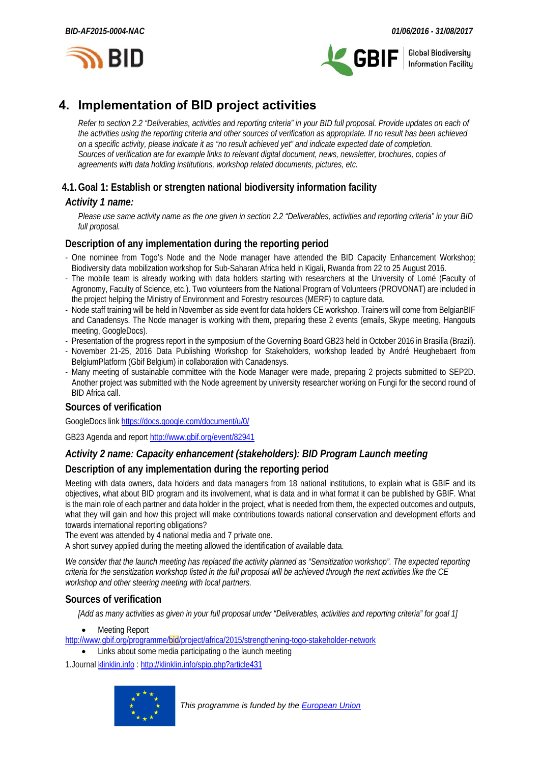



**Global Biodiversity Information Facility** 

## **4. Implementation of BID project activities**

*Refer to section 2.2 "Deliverables, activities and reporting criteria" in your BID full proposal. Provide updates on each of the activities using the reporting criteria and other sources of verification as appropriate. If no result has been achieved on a specific activity, please indicate it as "no result achieved yet" and indicate expected date of completion. Sources of verification are for example links to relevant digital document, news, newsletter, brochures, copies of agreements with data holding institutions, workshop related documents, pictures, etc.*

## **4.1.Goal 1: Establish or strengten national biodiversity information facility**

#### *Activity 1 name:*

*Please use same activity name as the one given in section 2.2 "Deliverables, activities and reporting criteria" in your BID full proposal.*

## **Description of any implementation during the reporting period**

- One nominee from Togo's Node and the Node manager have attended the BID Capacity Enhancement Workshop: Biodiversity data mobilization workshop for Sub-Saharan Africa held in Kigali, Rwanda from 22 to 25 August 2016.
- The mobile team is already working with data holders starting with researchers at the University of Lomé (Faculty of Agronomy, Faculty of Science, etc.). Two volunteers from the National Program of Volunteers (PROVONAT) are included in the project helping the Ministry of Environment and Forestry resources (MERF) to capture data.
- Node staff training will be held in November as side event for data holders CE workshop. Trainers will come from BelgianBIF and Canadensys. The Node manager is working with them, preparing these 2 events (emails, Skype meeting, Hangouts meeting, GoogleDocs).
- Presentation of the progress report in the symposium of the Governing Board GB23 held in October 2016 in Brasilia (Brazil).
- November 21-25, 2016 Data Publishing Workshop for Stakeholders, workshop leaded by André Heughebaert from BelgiumPlatform (Gbif Belgium) in collaboration with Canadensys.
- Many meeting of sustainable committee with the Node Manager were made, preparing 2 projects submitted to SEP2D. Another project was submitted with the Node agreement by university researcher working on Fungi for the second round of BID Africa call.

## **Sources of verification**

GoogleDocs link https://docs.google.com/document/u/0/

GB23 Agenda and report http://www.gbif.org/event/82941

## *Activity 2 name: Capacity enhancement (stakeholders): BID Program Launch meeting*

## **Description of any implementation during the reporting period**

Meeting with data owners, data holders and data managers from 18 national institutions, to explain what is GBIF and its objectives, what about BID program and its involvement, what is data and in what format it can be published by GBIF. What is the main role of each partner and data holder in the project, what is needed from them, the expected outcomes and outputs, what they will gain and how this project will make contributions towards national conservation and development efforts and towards international reporting obligations?

The event was attended by 4 national media and 7 private one.

A short survey applied during the meeting allowed the identification of available data.

*We consider that the launch meeting has replaced the activity planned as "Sensitization workshop". The expected reporting criteria for the sensitization workshop listed in the full proposal will be achieved through the next activities like the CE workshop and other steering meeting with local partners.* 

## **Sources of verification**

*[Add as many activities as given in your full proposal under "Deliverables, activities and reporting criteria" for goal 1]* 

Meeting Report

http://www.gbif.org/programme/bid/project/africa/2015/strengthening-togo-stakeholder-network

Links about some media participating o the launch meeting

1.Journal klinklin.info : http://klinklin.info/spip.php?article431



*This programme is funded by the European Union*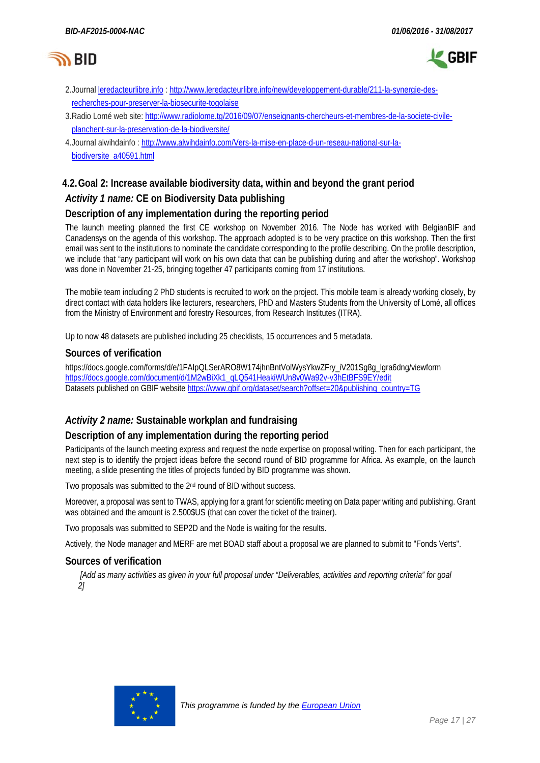



- 2.Journal leredacteurlibre.info : http://www.leredacteurlibre.info/new/developpement-durable/211-la-synergie-desrecherches-pour-preserver-la-biosecurite-togolaise
- 3.Radio Lomé web site: http://www.radiolome.tg/2016/09/07/enseignants-chercheurs-et-membres-de-la-societe-civileplanchent-sur-la-preservation-de-la-biodiversite/
- 4.Journal alwihdainfo : http://www.alwihdainfo.com/Vers-la-mise-en-place-d-un-reseau-national-sur-labiodiversite\_a40591.html

#### **4.2.Goal 2: Increase available biodiversity data, within and beyond the grant period**

#### *Activity 1 name:* **CE on Biodiversity Data publishing**

#### **Description of any implementation during the reporting period**

The launch meeting planned the first CE workshop on November 2016. The Node has worked with BelgianBIF and Canadensys on the agenda of this workshop. The approach adopted is to be very practice on this workshop. Then the first email was sent to the institutions to nominate the candidate corresponding to the profile describing. On the profile description, we include that "any participant will work on his own data that can be publishing during and after the workshop". Workshop was done in November 21-25, bringing together 47 participants coming from 17 institutions.

The mobile team including 2 PhD students is recruited to work on the project. This mobile team is already working closely, by direct contact with data holders like lecturers, researchers, PhD and Masters Students from the University of Lomé, all offices from the Ministry of Environment and forestry Resources, from Research Institutes (ITRA).

Up to now 48 datasets are published including 25 checklists, 15 occurrences and 5 metadata.

#### **Sources of verification**

https://docs.google.com/forms/d/e/1FAIpQLSerARO8W174jhnBntVolWysYkwZFry\_iV201Sq8g\_lgra6dng/viewform https://docs.google.com/document/d/1M2wBiXk1\_qLQ541HeakiWUn8v0Wa92v-v3hEtBFS9EY/edit Datasets published on GBIF website https://www.gbif.org/dataset/search?offset=20&publishing\_country=TG

## *Activity 2 name:* **Sustainable workplan and fundraising**

#### **Description of any implementation during the reporting period**

Participants of the launch meeting express and request the node expertise on proposal writing. Then for each participant, the next step is to identify the project ideas before the second round of BID programme for Africa. As example, on the launch meeting, a slide presenting the titles of projects funded by BID programme was shown.

Two proposals was submitted to the 2<sup>nd</sup> round of BID without success.

Moreover, a proposal was sent to TWAS, applying for a grant for scientific meeting on Data paper writing and publishing. Grant was obtained and the amount is 2.500\$US (that can cover the ticket of the trainer).

Two proposals was submitted to SEP2D and the Node is waiting for the results.

Actively, the Node manager and MERF are met BOAD staff about a proposal we are planned to submit to "Fonds Verts".

#### **Sources of verification**

 *[Add as many activities as given in your full proposal under "Deliverables, activities and reporting criteria" for goal 2]*

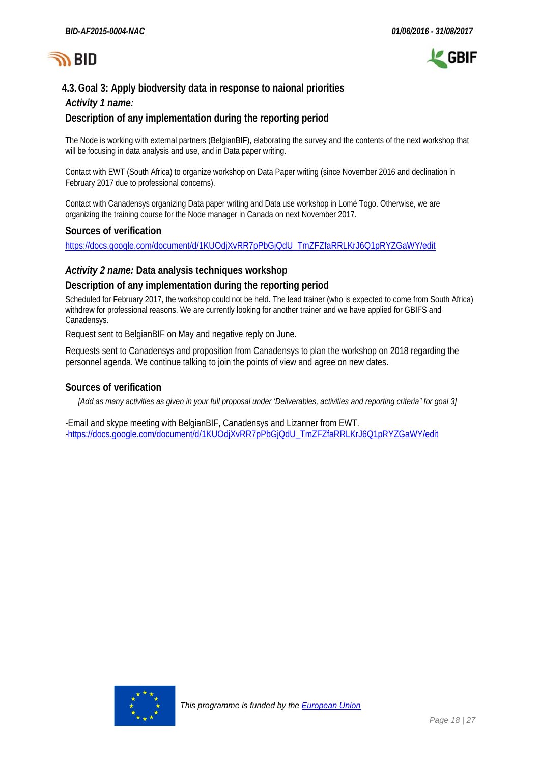



## **4.3.Goal 3: Apply biodversity data in response to naional priorities**

#### *Activity 1 name:*

#### **Description of any implementation during the reporting period**

The Node is working with external partners (BelgianBIF), elaborating the survey and the contents of the next workshop that will be focusing in data analysis and use, and in Data paper writing.

Contact with EWT (South Africa) to organize workshop on Data Paper writing (since November 2016 and declination in February 2017 due to professional concerns).

Contact with Canadensys organizing Data paper writing and Data use workshop in Lomé Togo. Otherwise, we are organizing the training course for the Node manager in Canada on next November 2017.

#### **Sources of verification**

https://docs.google.com/document/d/1KUOdjXvRR7pPbGjQdU\_TmZFZfaRRLKrJ6Q1pRYZGaWY/edit

#### *Activity 2 name:* **Data analysis techniques workshop**

#### **Description of any implementation during the reporting period**

Scheduled for February 2017, the workshop could not be held. The lead trainer (who is expected to come from South Africa) withdrew for professional reasons. We are currently looking for another trainer and we have applied for GBIFS and Canadensys.

Request sent to BelgianBIF on May and negative reply on June.

Requests sent to Canadensys and proposition from Canadensys to plan the workshop on 2018 regarding the personnel agenda. We continue talking to join the points of view and agree on new dates.

#### **Sources of verification**

*[Add as many activities as given in your full proposal under 'Deliverables, activities and reporting criteria" for goal 3]* 

-Email and skype meeting with BelgianBIF, Canadensys and Lizanner from EWT. -https://docs.google.com/document/d/1KUOdjXvRR7pPbGjQdU\_TmZFZfaRRLKrJ6Q1pRYZGaWY/edit

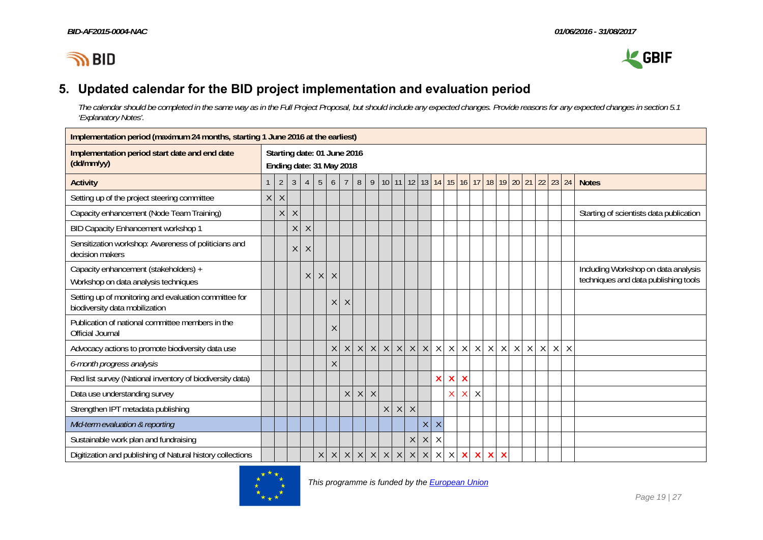



## **5. Updated calendar for the BID project implementation and evaluation period**

*The calendar should be completed in the same way as in the Full Project Proposal, but should include any expected changes. Provide reasons for any expected changes in section 5.1 'Explanatory Notes'.*

| Implementation period (maximum 24 months, starting 1 June 2016 at the earliest)         |   |                |                |                |                                                         |              |                 |                |                    |                                                               |              |              |              |                         |                    |                  |                  |                  |                  |         |        |        |          |   |                                                                             |
|-----------------------------------------------------------------------------------------|---|----------------|----------------|----------------|---------------------------------------------------------|--------------|-----------------|----------------|--------------------|---------------------------------------------------------------|--------------|--------------|--------------|-------------------------|--------------------|------------------|------------------|------------------|------------------|---------|--------|--------|----------|---|-----------------------------------------------------------------------------|
| Implementation period start date and end date<br>(dd/mm/yy)                             |   |                |                |                | Starting date: 01 June 2016<br>Ending date: 31 May 2018 |              |                 |                |                    |                                                               |              |              |              |                         |                    |                  |                  |                  |                  |         |        |        |          |   |                                                                             |
| <b>Activity</b>                                                                         |   | $\overline{2}$ | 3 <sup>1</sup> | $\overline{4}$ | 5 <sup>5</sup>                                          | 6            | $7\overline{ }$ | 8 <sup>1</sup> |                    | 9   10   11   12   13   14   15   16   17   18   19   20   21 |              |              |              |                         |                    |                  |                  |                  |                  |         |        |        | 22 23 24 |   | <b>Notes</b>                                                                |
| Setting up of the project steering committee                                            | X | X              |                |                |                                                         |              |                 |                |                    |                                                               |              |              |              |                         |                    |                  |                  |                  |                  |         |        |        |          |   |                                                                             |
| Capacity enhancement (Node Team Training)                                               |   | X              | $\sf X$        |                |                                                         |              |                 |                |                    |                                                               |              |              |              |                         |                    |                  |                  |                  |                  |         |        |        |          |   | Starting of scientists data publication                                     |
| BID Capacity Enhancement workshop 1                                                     |   |                | Χ              | $\mathsf{X}$   |                                                         |              |                 |                |                    |                                                               |              |              |              |                         |                    |                  |                  |                  |                  |         |        |        |          |   |                                                                             |
| Sensitization workshop: Awareness of politicians and<br>decision makers                 |   |                | χ              | X              |                                                         |              |                 |                |                    |                                                               |              |              |              |                         |                    |                  |                  |                  |                  |         |        |        |          |   |                                                                             |
| Capacity enhancement (stakeholders) +<br>Workshop on data analysis techniques           |   |                |                | X              | X                                                       | $\mathsf{X}$ |                 |                |                    |                                                               |              |              |              |                         |                    |                  |                  |                  |                  |         |        |        |          |   | Including Workshop on data analysis<br>techniques and data publishing tools |
| Setting up of monitoring and evaluation committee for<br>biodiversity data mobilization |   |                |                |                |                                                         | X            | X               |                |                    |                                                               |              |              |              |                         |                    |                  |                  |                  |                  |         |        |        |          |   |                                                                             |
| Publication of national committee members in the<br>Official Journal                    |   |                |                |                |                                                         | X            |                 |                |                    |                                                               |              |              |              |                         |                    |                  |                  |                  |                  |         |        |        |          |   |                                                                             |
| Advocacy actions to promote biodiversity data use                                       |   |                |                |                |                                                         | X            | X               | $\sf X$        | X                  | $\mathsf{X}$                                                  | X            | $\mathsf X$  | X            | $\sf X$                 | $\mathsf{X}% _{0}$ | $\mathsf X$      | $\mathsf X$      | $\sf X$          | $\mathsf X$      | $\sf X$ | $\chi$ | $\chi$ | Χ        | X |                                                                             |
| 6-month progress analysis                                                               |   |                |                |                |                                                         | X            |                 |                |                    |                                                               |              |              |              |                         |                    |                  |                  |                  |                  |         |        |        |          |   |                                                                             |
| Red list survey (National inventory of biodiversity data)                               |   |                |                |                |                                                         |              |                 |                |                    |                                                               |              |              |              | $\overline{\mathsf{x}}$ | $\mathsf{X}$       | $\mathsf{X}$     |                  |                  |                  |         |        |        |          |   |                                                                             |
| Data use understanding survey                                                           |   |                |                |                |                                                         |              | X               | $\mathsf{X}$   | $\mathsf{X}% _{0}$ |                                                               |              |              |              |                         | X                  | $\sf X$          | Χ                |                  |                  |         |        |        |          |   |                                                                             |
| Strengthen IPT metadata publishing                                                      |   |                |                |                |                                                         |              |                 |                |                    | X                                                             | $\mathsf{X}$ | $\mathsf{X}$ |              |                         |                    |                  |                  |                  |                  |         |        |        |          |   |                                                                             |
| Mid-term evaluation & reporting                                                         |   |                |                |                |                                                         |              |                 |                |                    |                                                               |              |              | $\mathsf{X}$ | $\sf X$                 |                    |                  |                  |                  |                  |         |        |        |          |   |                                                                             |
| Sustainable work plan and fundraising                                                   |   |                |                |                |                                                         |              |                 |                |                    |                                                               |              | Χ            | X            | $\sf X$                 |                    |                  |                  |                  |                  |         |        |        |          |   |                                                                             |
| Digitization and publishing of Natural history collections                              |   |                |                |                | χ                                                       | $\mathsf{X}$ | X               | X              | Χ                  | $\mathsf X$                                                   | $\mathsf X$  | $\times$     | $\mathsf X$  | $\times$                | X                  | $\boldsymbol{X}$ | $\boldsymbol{X}$ | $\boldsymbol{X}$ | $\boldsymbol{X}$ |         |        |        |          |   |                                                                             |

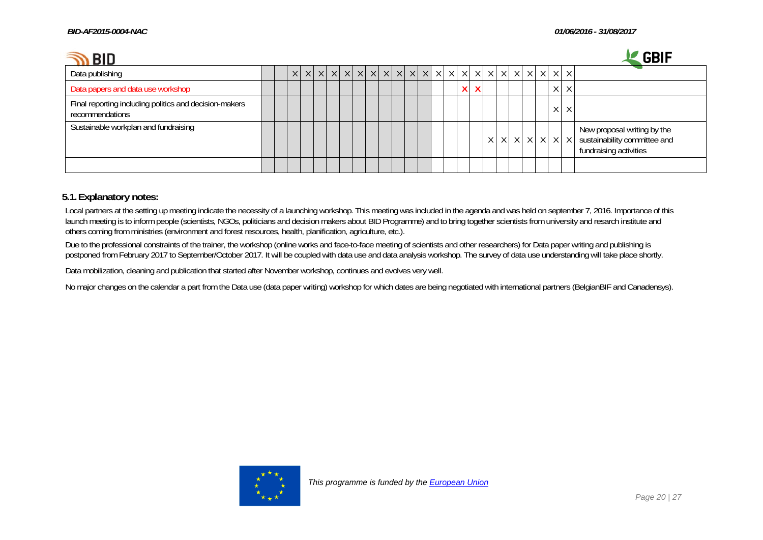$\overline{a}$ 

| n BID                                                                     |  |          |  |  |  |  |  |  |              |   |  |  |             | <b>GBIF</b>            |
|---------------------------------------------------------------------------|--|----------|--|--|--|--|--|--|--------------|---|--|--|-------------|------------------------|
| Data publishing                                                           |  | $X \mid$ |  |  |  |  |  |  |              |   |  |  |             |                        |
| Data papers and data use workshop                                         |  |          |  |  |  |  |  |  | $\mathsf{X}$ | X |  |  | $\vee$<br>∧ |                        |
| Final reporting including politics and decision-makers<br>recommendations |  |          |  |  |  |  |  |  |              |   |  |  | $\vee$      |                        |
| Sustainable workplan and fundraising                                      |  |          |  |  |  |  |  |  |              |   |  |  |             | fundraising activities |
|                                                                           |  |          |  |  |  |  |  |  |              |   |  |  |             |                        |

#### **5.1.Explanatory notes:**

Local partners at the setting up meeting indicate the necessity of a launching workshop. This meeting was included in the agenda and was held on september 7, 2016. Importance of this launch meeting is to inform people (scientists, NGOs, politicians and decision makers about BID Programme) and to bring together scientists from university and resarch institute and others coming from ministries (environment and forest resources, health, planification, agriculture, etc.).

Due to the professional constraints of the trainer, the workshop (online works and face-to-face meeting of scientists and other researchers) for Data paper writing and publishing is postponed from February 2017 to September/October 2017. It will be coupled with data use and data analysis workshop. The survey of data use understanding will take place shortly.

Data mobilization, cleaning and publication that started after November workshop, continues and evolves very well.

No major changes on the calendar a part from the Data use (data paper writing) workshop for which dates are being negotiated with international partners (BelgianBIF and Canadensys).

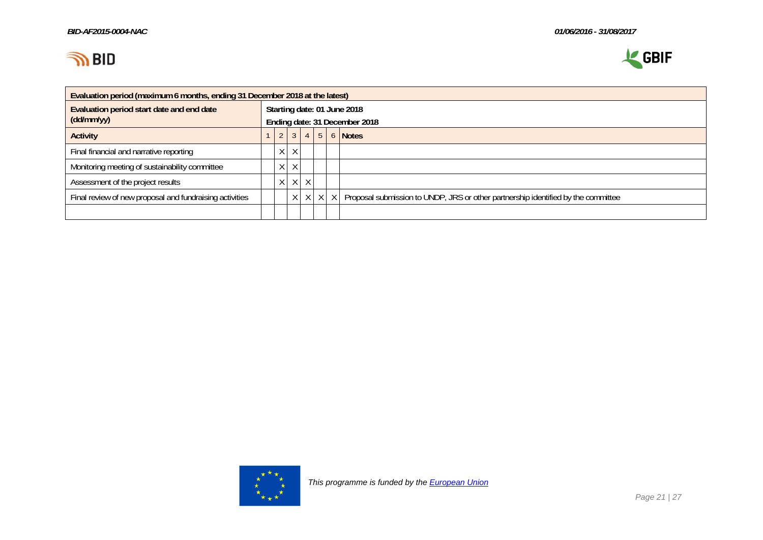



| Evaluation period (maximum 6 months, ending 31 December 2018 at the latest) |          |        |             |                 |                                                                                   |
|-----------------------------------------------------------------------------|----------|--------|-------------|-----------------|-----------------------------------------------------------------------------------|
| Evaluation period start date and end date<br>(dd/mm/yy)                     |          |        |             |                 | Starting date: 01 June 2018<br>Ending date: 31 December 2018                      |
| <b>Activity</b>                                                             |          |        |             |                 | $2 \mid 3 \mid 4 \mid 5 \mid 6$ Notes                                             |
| Final financial and narrative reporting                                     | $X \mid$ | $\chi$ |             |                 |                                                                                   |
| Monitoring meeting of sustainability committee                              | $X \mid$ | X      |             |                 |                                                                                   |
| Assessment of the project results                                           |          |        | $X$ $X$ $X$ |                 |                                                                                   |
| Final review of new proposal and fundraising activities                     |          |        |             | $X$ $X$ $X$ $X$ | Proposal submission to UNDP, JRS or other partnership identified by the committee |
|                                                                             |          |        |             |                 |                                                                                   |

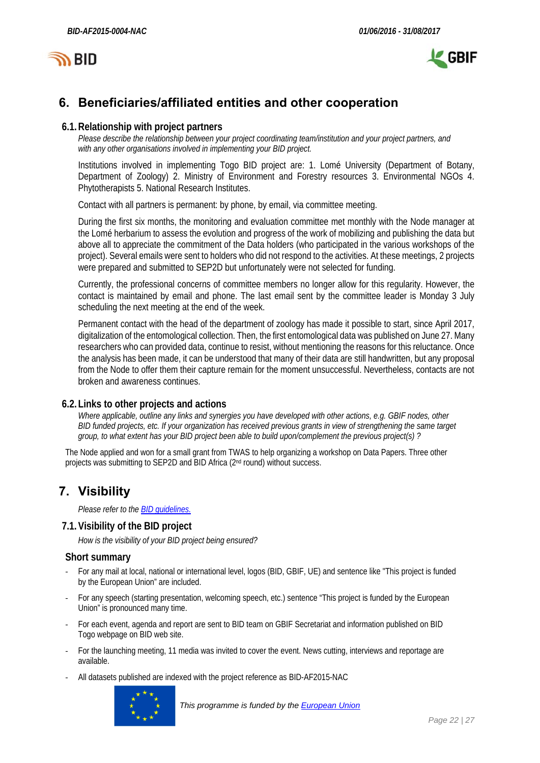

## **6. Beneficiaries/affiliated entities and other cooperation**

#### **6.1.Relationship with project partners**

*Please describe the relationship between your project coordinating team/institution and your project partners, and with any other organisations involved in implementing your BID project.* 

Institutions involved in implementing Togo BID project are: 1. Lomé University (Department of Botany, Department of Zoology) 2. Ministry of Environment and Forestry resources 3. Environmental NGOs 4. Phytotherapists 5. National Research Institutes.

Contact with all partners is permanent: by phone, by email, via committee meeting.

During the first six months, the monitoring and evaluation committee met monthly with the Node manager at the Lomé herbarium to assess the evolution and progress of the work of mobilizing and publishing the data but above all to appreciate the commitment of the Data holders (who participated in the various workshops of the project). Several emails were sent to holders who did not respond to the activities. At these meetings, 2 projects were prepared and submitted to SEP2D but unfortunately were not selected for funding.

Currently, the professional concerns of committee members no longer allow for this regularity. However, the contact is maintained by email and phone. The last email sent by the committee leader is Monday 3 July scheduling the next meeting at the end of the week.

Permanent contact with the head of the department of zoology has made it possible to start, since April 2017, digitalization of the entomological collection. Then, the first entomological data was published on June 27. Many researchers who can provided data, continue to resist, without mentioning the reasons for this reluctance. Once the analysis has been made, it can be understood that many of their data are still handwritten, but any proposal from the Node to offer them their capture remain for the moment unsuccessful. Nevertheless, contacts are not broken and awareness continues.

#### **6.2.Links to other projects and actions**

*Where applicable, outline any links and synergies you have developed with other actions, e.g. GBIF nodes, other BID funded projects, etc. If your organization has received previous grants in view of strengthening the same target group, to what extent has your BID project been able to build upon/complement the previous project(s) ?* 

The Node applied and won for a small grant from TWAS to help organizing a workshop on Data Papers. Three other projects was submitting to SEP2D and BID Africa (2nd round) without success.

## **7. Visibility**

*Please refer to the BID guidelines.*

#### **7.1.Visibility of the BID project**

*How is the visibility of your BID project being ensured?* 

#### **Short summary**

- ‐ For any mail at local, national or international level, logos (BID, GBIF, UE) and sentence like "This project is funded by the European Union" are included.
- For any speech (starting presentation, welcoming speech, etc.) sentence "This project is funded by the European Union" is pronounced many time.
- ‐ For each event, agenda and report are sent to BID team on GBIF Secretariat and information published on BID Togo webpage on BID web site.
- ‐ For the launching meeting, 11 media was invited to cover the event. News cutting, interviews and reportage are available.
- ‐ All datasets published are indexed with the project reference as BID-AF2015-NAC

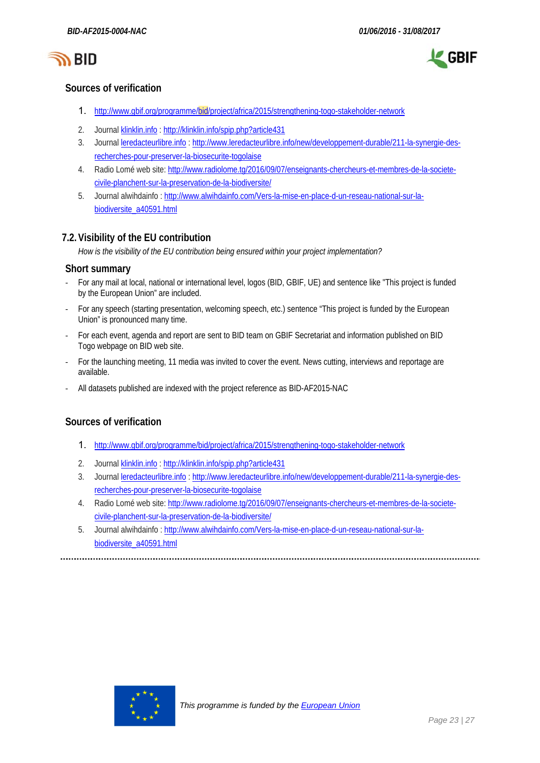



### **Sources of verification**

- 1. http://www.gbif.org/programme/bid/project/africa/2015/strengthening-togo-stakeholder-network
- 2. Journal klinklin.info : http://klinklin.info/spip.php?article431
- 3. Journal leredacteurlibre.info : http://www.leredacteurlibre.info/new/developpement-durable/211-la-synergie-desrecherches-pour-preserver-la-biosecurite-togolaise
- 4. Radio Lomé web site: http://www.radiolome.tg/2016/09/07/enseignants-chercheurs-et-membres-de-la-societecivile-planchent-sur-la-preservation-de-la-biodiversite/
- 5. Journal alwihdainfo : http://www.alwihdainfo.com/Vers-la-mise-en-place-d-un-reseau-national-sur-labiodiversite\_a40591.html

#### **7.2.Visibility of the EU contribution**

*How is the visibility of the EU contribution being ensured within your project implementation?* 

#### **Short summary**

- ‐ For any mail at local, national or international level, logos (BID, GBIF, UE) and sentence like "This project is funded by the European Union" are included.
- For any speech (starting presentation, welcoming speech, etc.) sentence "This project is funded by the European Union" is pronounced many time.
- ‐ For each event, agenda and report are sent to BID team on GBIF Secretariat and information published on BID Togo webpage on BID web site.
- For the launching meeting, 11 media was invited to cover the event. News cutting, interviews and reportage are available.
- ‐ All datasets published are indexed with the project reference as BID-AF2015-NAC

## **Sources of verification**

- 1. http://www.gbif.org/programme/bid/project/africa/2015/strengthening-togo-stakeholder-network
- 2. Journal klinklin.info : http://klinklin.info/spip.php?article431
- 3. Journal leredacteurlibre.info : http://www.leredacteurlibre.info/new/developpement-durable/211-la-synergie-desrecherches-pour-preserver-la-biosecurite-togolaise
- 4. Radio Lomé web site: http://www.radiolome.tg/2016/09/07/enseignants-chercheurs-et-membres-de-la-societecivile-planchent-sur-la-preservation-de-la-biodiversite/
- 5. Journal alwihdainfo : http://www.alwihdainfo.com/Vers-la-mise-en-place-d-un-reseau-national-sur-labiodiversite\_a40591.html



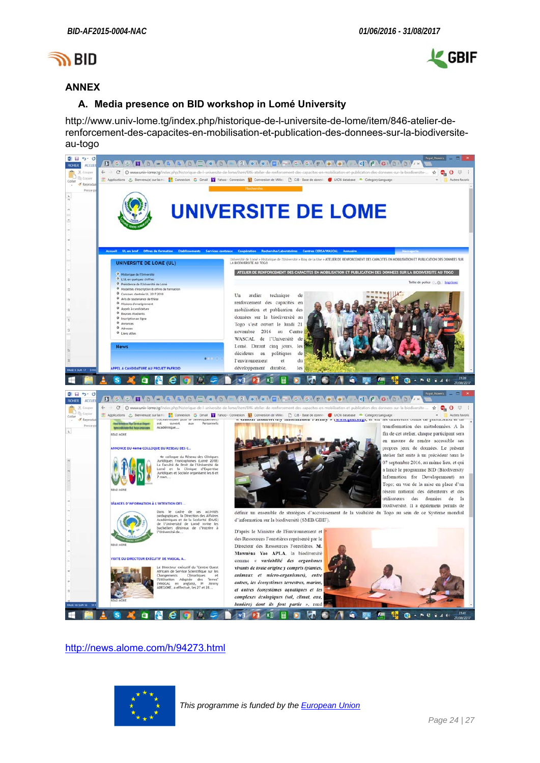



#### **ANNEX**

#### **A. Media presence on BID workshop in Lomé University**

http://www.univ-lome.tg/index.php/historique-de-l-universite-de-lome/item/846-atelier-derenforcement-des-capacites-en-mobilisation-et-publication-des-donnees-sur-la-biodiversiteau-togo



#### http://news.alome.com/h/94273.html

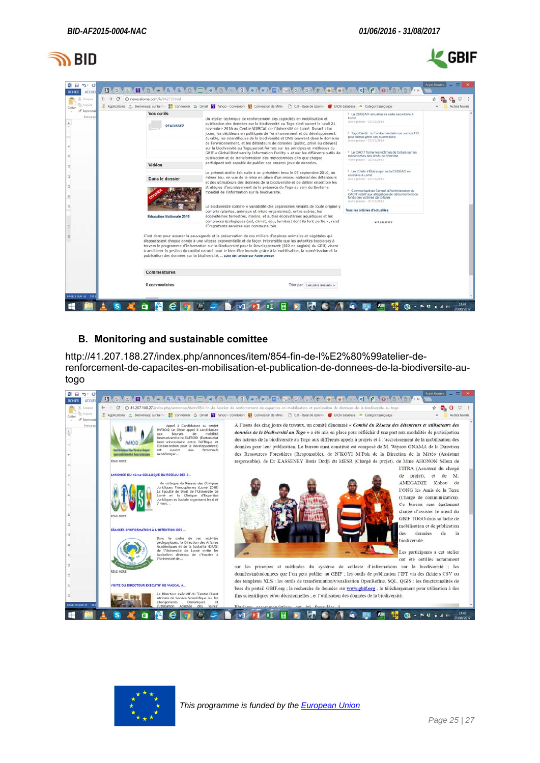



| C news.alome.com/h/94273.html   | Hill Applications 3, Bienvenule) sur la m . Connexion G Gmail M Vahoo - Connexion 111 Conversion de Mille: n CIB - Base de donni UICN database & Category:Language                                                                                                                                                                                                                                                                                                                                                                                        |                                                                                                                                                                                                                 |  |
|---------------------------------|-----------------------------------------------------------------------------------------------------------------------------------------------------------------------------------------------------------------------------------------------------------------------------------------------------------------------------------------------------------------------------------------------------------------------------------------------------------------------------------------------------------------------------------------------------------|-----------------------------------------------------------------------------------------------------------------------------------------------------------------------------------------------------------------|--|
| Vos outils<br><b>REAGISSEZ</b>  | Un atelier technique de renforcement des capacités en mobilisation et<br>publication des données sur la biodiversité au Togo s'est ouvert le lundi 21<br>novembre 2016 au Centre WASCAL de l'Université de Lomé. Durant cing<br>jours, les décideurs en politiques de l'environnement et du développement<br>durable, les scientifiques de la biodiversité et ONG œuvrant dans le domaine<br>de l'environnement, et les détenteurs de données (public, privé ou citoyen)<br>sur la biodiversité au Togo, seront formés sur les principes et méthodes du   | <sup>#</sup> La CEDEAO actualise sa carte sécuritaire à<br>Lomè<br>Autre presse - 23/11/2016<br>Togo-Santé : le Fonds mondial mise sur les TIC<br>pour mieux gèrer ses subventions<br>Autre presse - 23/11/2016 |  |
| Vidéos                          | GBIF « Global Biodiversity Information Facility » et sur les différents outils de<br>publication et de transformation des métadonnées afin que chaque<br>participant soit capable de publier ses propres jeux de données.                                                                                                                                                                                                                                                                                                                                 | <sup>1</sup> Le CACIT forme les victimes de torture sur les<br>mécanismes des droits de l'homme<br>Autre press= - 23/11/2016                                                                                    |  |
| Dans le dossier                 | Le présent atelier fait suite à un précédent tenu le 07 septembre 2016, au<br>même lieu, en vue de la mise en place d'un réseau national des détenteurs<br>et des utilisateurs des données de la biodiversité et de définir ensemble les<br>stratégies d'accroissement de la présence du Togo au sein du Système                                                                                                                                                                                                                                          | <sup>1</sup> Les Chefs d'État-major de la CEDEAO en<br>conclave à Lomé<br>Autre presse - 23/11/2016                                                                                                             |  |
|                                 | mondial de l'information sur la biodiversité.<br>La biodiversité comme « variabilité des organismes vivants de toute origine y                                                                                                                                                                                                                                                                                                                                                                                                                            | Communiqué du Conseil d'Administration du<br>CACIT relatif aux allégations de détoumement de<br>fonds des victimes de tortures<br>Autra pressa - 23/11/2016                                                     |  |
|                                 | compris (plantes, animaux et micro-organismes), entre autres, les                                                                                                                                                                                                                                                                                                                                                                                                                                                                                         | Tous les articles d'actualités                                                                                                                                                                                  |  |
| <b>Education Nationale 2016</b> | écosystèmes terrestres, marins, et autres écosystèmes aquatiques et les<br>complexes écologiques (sol, climat, eau, lumière) dont ils font partie », rend<br>d'importants services aux communautés.                                                                                                                                                                                                                                                                                                                                                       | * PUBLICITE                                                                                                                                                                                                     |  |
|                                 | C'est donc pour assurer la sauvegarde et la préservation de ces milliers d'espèces animales et végétales qui<br>disparaissent chaque année à une vitesse exponentielle et de façon irréversible que les autorités togolaises à<br>travers le programme d'Information sur la Biodiversité pour le Développement (BID en anglais) du GBIF, visent<br>à améliorer la gestion du capital naturel pour le bien-être humain grâce à la mobilisation, la numérisation et la<br>publication des données sur la biodiversité.  suite de l'article sur Autre presse |                                                                                                                                                                                                                 |  |
| Commentaires                    |                                                                                                                                                                                                                                                                                                                                                                                                                                                                                                                                                           |                                                                                                                                                                                                                 |  |
| 0 commentaires                  | Trier par Les plus anciens +                                                                                                                                                                                                                                                                                                                                                                                                                                                                                                                              |                                                                                                                                                                                                                 |  |

#### **B. Monitoring and sustainable comittee**

http://41.207.188.27/index.php/annonces/item/854-fin-de-l%E2%80%99atelier-derenforcement-de-capacites-en-mobilisation-et-publication-de-donnees-de-la-biodiversite-autogo



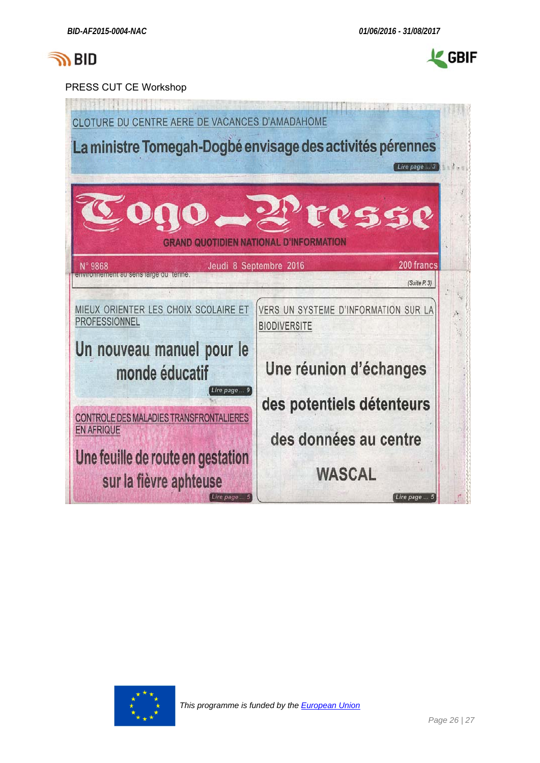



## PRESS CUT CE Workshop